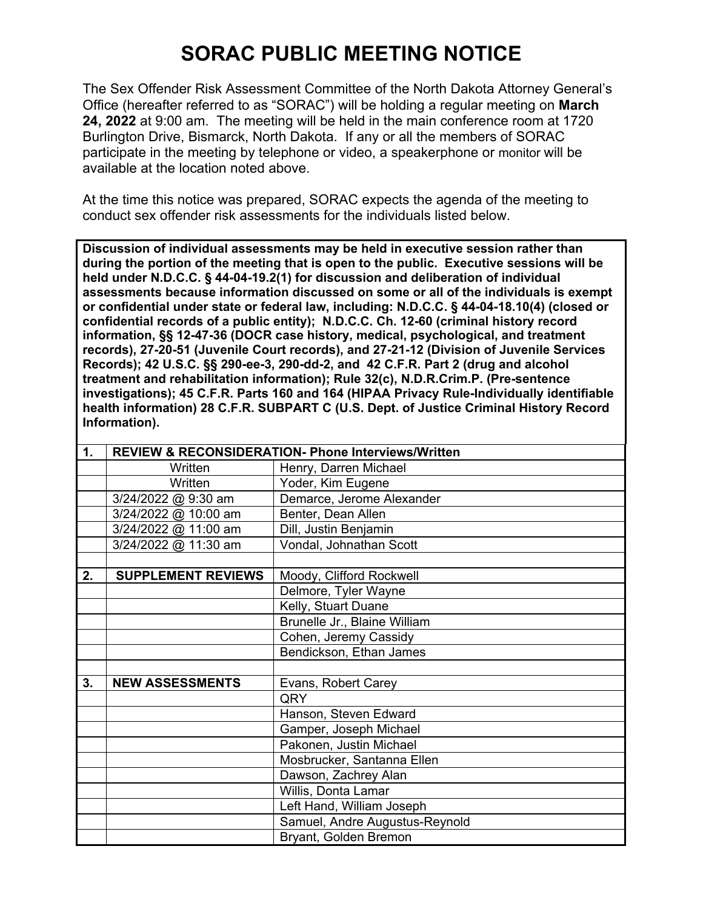## **SORAC PUBLIC MEETING NOTICE**

The Sex Offender Risk Assessment Committee of the North Dakota Attorney General's Office (hereafter referred to as "SORAC") will be holding a regular meeting on **March 24, 2022** at 9:00 am. The meeting will be held in the main conference room at 1720 Burlington Drive, Bismarck, North Dakota. If any or all the members of SORAC participate in the meeting by telephone or video, a speakerphone or monitor will be available at the location noted above.

At the time this notice was prepared, SORAC expects the agenda of the meeting to conduct sex offender risk assessments for the individuals listed below.

**Discussion of individual assessments may be held in executive session rather than during the portion of the meeting that is open to the public. Executive sessions will be held under N.D.C.C. § 44-04-19.2(1) for discussion and deliberation of individual assessments because information discussed on some or all of the individuals is exempt or confidential under state or federal law, including: N.D.C.C. § 44-04-18.10(4) (closed or confidential records of a public entity); N.D.C.C. Ch. 12-60 (criminal history record information, §§ 12-47-36 (DOCR case history, medical, psychological, and treatment records), 27-20-51 (Juvenile Court records), and 27-21-12 (Division of Juvenile Services Records); 42 U.S.C. §§ 290-ee-3, 290-dd-2, and 42 C.F.R. Part 2 (drug and alcohol treatment and rehabilitation information); Rule 32(c), N.D.R.Crim.P. (Pre-sentence investigations); 45 C.F.R. Parts 160 and 164 (HIPAA Privacy Rule-Individually identifiable health information) 28 C.F.R. SUBPART C (U.S. Dept. of Justice Criminal History Record Information).** 

| 1. | <b>REVIEW &amp; RECONSIDERATION- Phone Interviews/Written</b> |                                |
|----|---------------------------------------------------------------|--------------------------------|
|    | Written                                                       | Henry, Darren Michael          |
|    | Written                                                       | Yoder, Kim Eugene              |
|    | 3/24/2022 @ 9:30 am                                           | Demarce, Jerome Alexander      |
|    | 3/24/2022 @ 10:00 am                                          | Benter, Dean Allen             |
|    | 3/24/2022 @ 11:00 am                                          | Dill, Justin Benjamin          |
|    | 3/24/2022 @ 11:30 am                                          | Vondal, Johnathan Scott        |
|    |                                                               |                                |
| 2. | <b>SUPPLEMENT REVIEWS</b>                                     | Moody, Clifford Rockwell       |
|    |                                                               | Delmore, Tyler Wayne           |
|    |                                                               | Kelly, Stuart Duane            |
|    |                                                               | Brunelle Jr., Blaine William   |
|    |                                                               | Cohen, Jeremy Cassidy          |
|    |                                                               | Bendickson, Ethan James        |
|    |                                                               |                                |
| 3. | <b>NEW ASSESSMENTS</b>                                        | Evans, Robert Carey            |
|    |                                                               | QRY                            |
|    |                                                               | Hanson, Steven Edward          |
|    |                                                               | Gamper, Joseph Michael         |
|    |                                                               | Pakonen, Justin Michael        |
|    |                                                               | Mosbrucker, Santanna Ellen     |
|    |                                                               | Dawson, Zachrey Alan           |
|    |                                                               | Willis, Donta Lamar            |
|    |                                                               | Left Hand, William Joseph      |
|    |                                                               | Samuel, Andre Augustus-Reynold |
|    |                                                               | Bryant, Golden Bremon          |